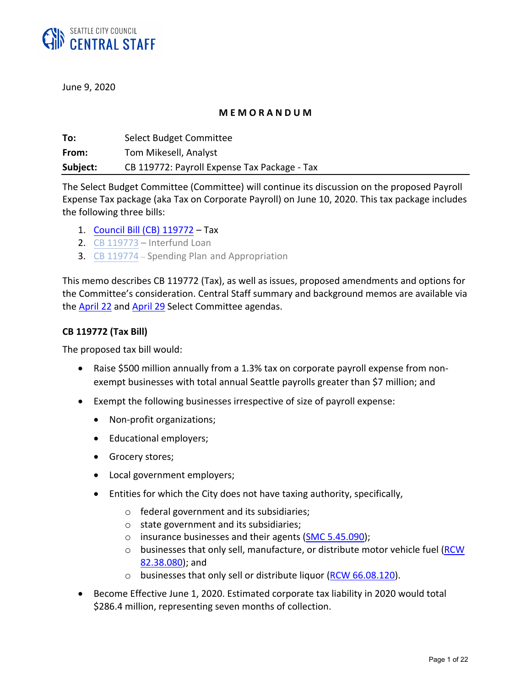

June 9, 2020

# **M E M O R A N D U M**

| To:      | Select Budget Committee                      |
|----------|----------------------------------------------|
| From:    | Tom Mikesell, Analyst                        |
| Subject: | CB 119772: Payroll Expense Tax Package - Tax |

The Select Budget Committee (Committee) will continue its discussion on the proposed Payroll Expense Tax package (aka Tax on Corporate Payroll) on June 10, 2020. This tax package includes the following three bills:

- 1. [Council Bill \(CB\) 119772](https://seattle.legistar.com/LegislationDetail.aspx?ID=4412726&GUID=CEFC5968-EFA3-4D3D-846C-A2223939CF21&Options=ID|Text|&Search=119774) Tax
- 2. [CB 119773](https://seattle.legistar.com/LegislationDetail.aspx?ID=4412727&GUID=1EBBFE05-A081-4749-B72E-65CFA50E1293&Options=ID|Text|&Search=119773) Interfund Loan
- 3. [CB 119774](https://seattle.legistar.com/LegislationDetail.aspx?ID=4412728&GUID=1EBAED60-2217-473B-9A6C-0F611FA44C81&Options=ID|Text|&Search=119773) Spending Plan and Appropriation

This memo describes CB 119772 (Tax), as well as issues, proposed amendments and options for the Committee's consideration. Central Staff summary and background memos are available via the **April 22** and **April 29** Select Committee agendas.

# **CB 119772 (Tax Bill)**

The proposed tax bill would:

- Raise \$500 million annually from a 1.3% tax on corporate payroll expense from nonexempt businesses with total annual Seattle payrolls greater than \$7 million; and
- Exempt the following businesses irrespective of size of payroll expense:
	- Non-profit organizations;
	- Educational employers;
	- Grocery stores;
	- Local government employers;
	- Entities for which the City does not have taxing authority, specifically,
		- o federal government and its subsidiaries;
		- o state government and its subsidiaries;
		- o insurance businesses and their agents [\(SMC 5.45.090\)](https://library.municode.com/wa/seattle/codes/municipal_code?nodeId=TIT5REFITA_SUBTITLE_IITA_CH5.45BULITA_5.45.090EX);
		- $\circ$  businesses that only sell, manufacture, or distribute motor vehicle fuel [\(RCW](https://app.leg.wa.gov/rcw/default.aspx?cite=82.38.080)) [82.38.080\)](https://app.leg.wa.gov/rcw/default.aspx?cite=82.38.080); and
		- $\circ$  businesses that only sell or distribute liquor [\(RCW 66.08.120\)](https://app.leg.wa.gov/rcw/default.aspx?cite=66.08.120).
- Become Effective June 1, 2020. Estimated corporate tax liability in 2020 would total \$286.4 million, representing seven months of collection.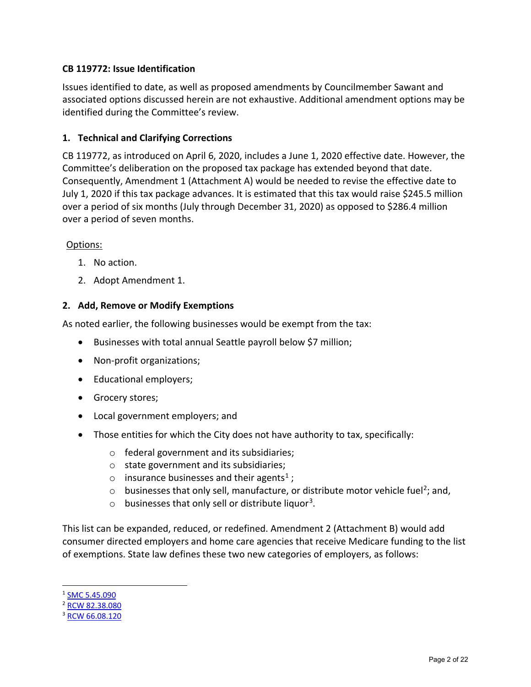# **CB 119772: Issue Identification**

Issues identified to date, as well as proposed amendments by Councilmember Sawant and associated options discussed herein are not exhaustive. Additional amendment options may be identified during the Committee's review.

# **1. Technical and Clarifying Corrections**

CB 119772, as introduced on April 6, 2020, includes a June 1, 2020 effective date. However, the Committee's deliberation on the proposed tax package has extended beyond that date. Consequently, Amendment 1 (Attachment A) would be needed to revise the effective date to July 1, 2020 if this tax package advances. It is estimated that this tax would raise \$245.5 million over a period of six months (July through December 31, 2020) as opposed to \$286.4 million over a period of seven months.

# Options:

- 1. No action.
- 2. Adopt Amendment 1.

# **2. Add, Remove or Modify Exemptions**

As noted earlier, the following businesses would be exempt from the tax:

- Businesses with total annual Seattle payroll below \$7 million;
- Non-profit organizations;
- Educational employers;
- Grocery stores;
- Local government employers; and
- Those entities for which the City does not have authority to tax, specifically:
	- o federal government and its subsidiaries;
	- o state government and its subsidiaries;
	- $\circ$  insurance businesses and their agents<sup>[1](#page-1-0)</sup>;
	- $\circ$  businesses that only sell, manufacture, or distribute motor vehicle fuel<sup>2</sup>; and,
	- $\circ$  businesses that only sell or distribute liquor<sup>[3](#page-1-2)</sup>.

This list can be expanded, reduced, or redefined. Amendment 2 (Attachment B) would add consumer directed employers and home care agencies that receive Medicare funding to the list of exemptions. State law defines these two new categories of employers, as follows:

<span id="page-1-0"></span><sup>1</sup> [SMC 5.45.090](https://library.municode.com/wa/seattle/codes/municipal_code?nodeId=TIT5REFITA_SUBTITLE_IITA_CH5.45BULITA_5.45.090EX)

<span id="page-1-1"></span><sup>2</sup> [RCW 82.38.080](https://app.leg.wa.gov/rcw/default.aspx?cite=82.38.080)

<span id="page-1-2"></span><sup>3</sup> [RCW 66.08.120](https://app.leg.wa.gov/rcw/default.aspx?cite=66.08.120)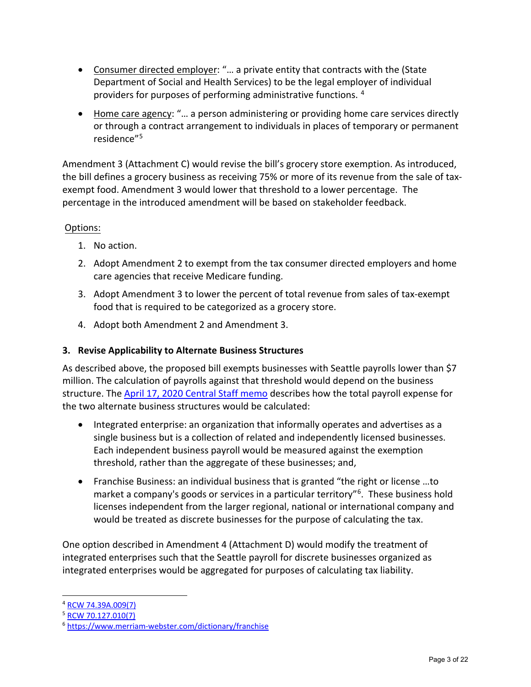- Consumer directed employer: "... a private entity that contracts with the (State Department of Social and Health Services) to be the legal employer of individual providers for purposes of performing administrative functions. [4](#page-2-0)
- Home care agency: "... a person administering or providing home care services directly or through a contract arrangement to individuals in places of temporary or permanent residence"[5](#page-2-1)

Amendment 3 (Attachment C) would revise the bill's grocery store exemption. As introduced, the bill defines a grocery business as receiving 75% or more of its revenue from the sale of taxexempt food. Amendment 3 would lower that threshold to a lower percentage. The percentage in the introduced amendment will be based on stakeholder feedback.

# Options:

- 1. No action.
- 2. Adopt Amendment 2 to exempt from the tax consumer directed employers and home care agencies that receive Medicare funding.
- 3. Adopt Amendment 3 to lower the percent of total revenue from sales of tax-exempt food that is required to be categorized as a grocery store.
- 4. Adopt both Amendment 2 and Amendment 3.

# **3. Revise Applicability to Alternate Business Structures**

As described above, the proposed bill exempts businesses with Seattle payrolls lower than \$7 million. The calculation of payrolls against that threshold would depend on the business structure. The April 17, 2020 [Central Staff memo](http://seattle.legistar.com/View.ashx?M=F&ID=8256127&GUID=89B84D40-E900-4527-87F7-FBA3B58B35E3) describes how the total payroll expense for the two alternate business structures would be calculated:

- Integrated enterprise: an organization that informally operates and advertises as a single business but is a collection of related and independently licensed businesses. Each independent business payroll would be measured against the exemption threshold, rather than the aggregate of these businesses; and,
- Franchise Business: an individual business that is granted "the right or license …to market a company's goods or services in a particular territory"<sup>[6](#page-2-2)</sup>. These business hold licenses independent from the larger regional, national or international company and would be treated as discrete businesses for the purpose of calculating the tax.

One option described in Amendment 4 (Attachment D) would modify the treatment of integrated enterprises such that the Seattle payroll for discrete businesses organized as integrated enterprises would be aggregated for purposes of calculating tax liability.

<span id="page-2-0"></span><sup>4</sup> [RCW 74.39A.009\(7\)](https://app.leg.wa.gov/RCW/default.aspx?cite=74.39A.009)

<span id="page-2-1"></span><sup>5</sup> [RCW 70.127.010\(7\)](https://app.leg.wa.gov/RCW/default.aspx?cite=70.127.010)

<span id="page-2-2"></span><sup>6</sup> <https://www.merriam-webster.com/dictionary/franchise>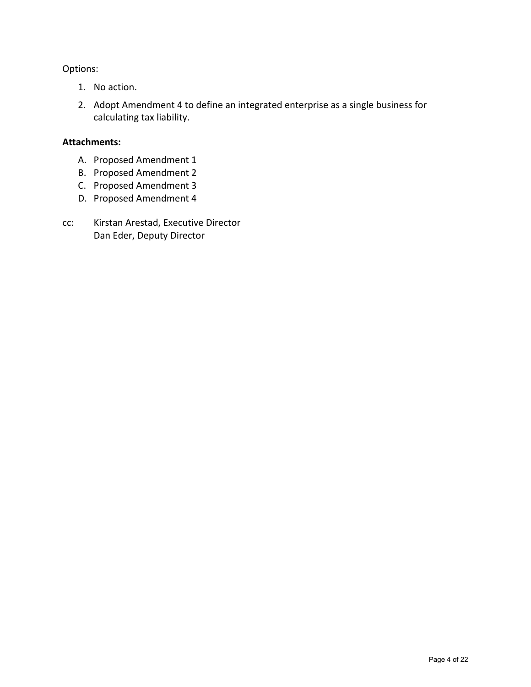# Options:

- 1. No action.
- 2. Adopt Amendment 4 to define an integrated enterprise as a single business for calculating tax liability.

# **Attachments:**

- A. Proposed Amendment 1
- B. Proposed Amendment 2
- C. Proposed Amendment 3
- D. Proposed Amendment 4
- cc: Kirstan Arestad, Executive Director Dan Eder, Deputy Director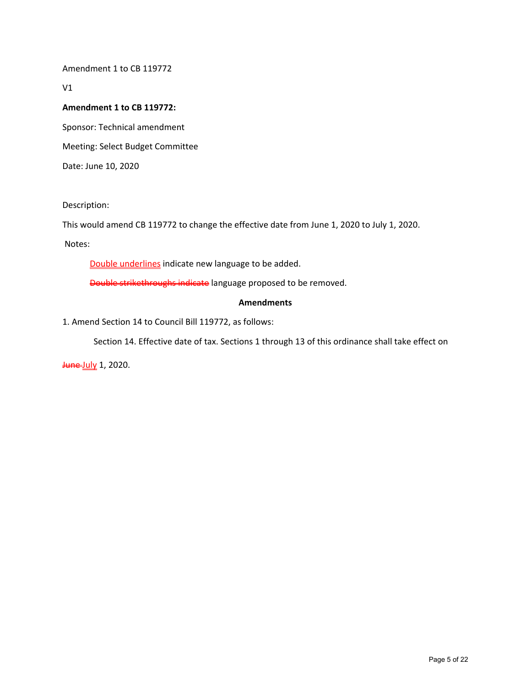Amendment 1 to CB 119772

V1

## **Amendment 1 to CB 119772:**

Sponsor: Technical amendment

Meeting: Select Budget Committee

Date: June 10, 2020

Description:

This would amend CB 119772 to change the effective date from June 1, 2020 to July 1, 2020.

Notes:

Double underlines indicate new language to be added.

Double strikethroughs indicate language proposed to be removed.

## **Amendments**

1. Amend Section 14 to Council Bill 119772, as follows:

Section 14. Effective date of tax. Sections 1 through 13 of this ordinance shall take effect on

**June-July 1, 2020.**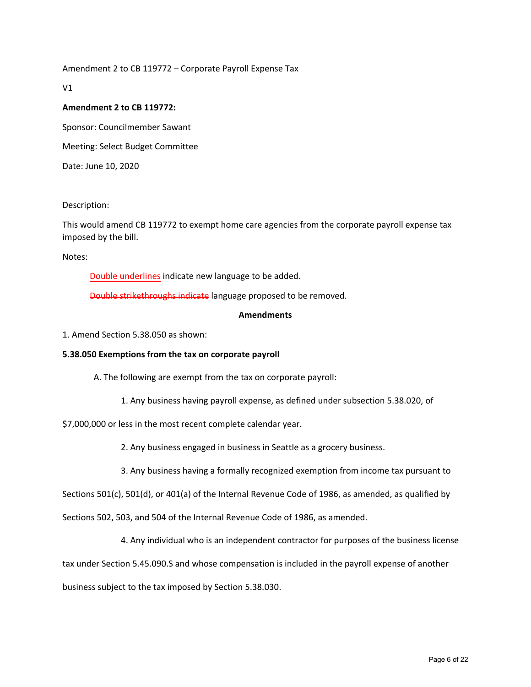Amendment 2 to CB 119772 – Corporate Payroll Expense Tax

V1

## **Amendment 2 to CB 119772:**

Sponsor: Councilmember Sawant Meeting: Select Budget Committee

Date: June 10, 2020

## Description:

This would amend CB 119772 to exempt home care agencies from the corporate payroll expense tax imposed by the bill.

Notes:

Double underlines indicate new language to be added.

Double strikethroughs indicate language proposed to be removed.

## **Amendments**

1. Amend Section 5.38.050 as shown:

## **5.38.050 Exemptions from the tax on corporate payroll**

A. The following are exempt from the tax on corporate payroll:

1. Any business having payroll expense, as defined under subsection 5.38.020, of

\$7,000,000 or less in the most recent complete calendar year.

2. Any business engaged in business in Seattle as a grocery business.

3. Any business having a formally recognized exemption from income tax pursuant to

Sections 501(c), 501(d), or 401(a) of the Internal Revenue Code of 1986, as amended, as qualified by

Sections 502, 503, and 504 of the Internal Revenue Code of 1986, as amended.

4. Any individual who is an independent contractor for purposes of the business license

tax under Section 5.45.090.S and whose compensation is included in the payroll expense of another

business subject to the tax imposed by Section 5.38.030.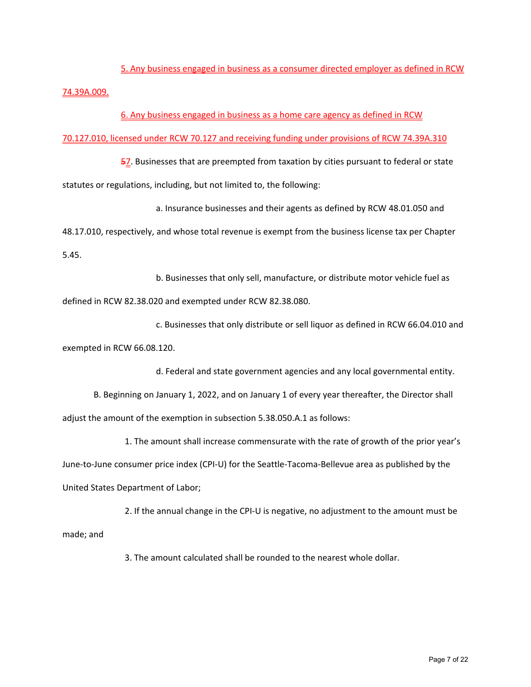5. Any business engaged in business as a consumer directed employer as defined in RCW 74.39A.009.

6. Any business engaged in business as a home care agency as defined in RCW

70.127.010, licensed under RCW 70.127 and receiving funding under provisions of RCW 74.39A.310

57. Businesses that are preempted from taxation by cities pursuant to federal or state statutes or regulations, including, but not limited to, the following:

a. Insurance businesses and their agents as defined by RCW 48.01.050 and 48.17.010, respectively, and whose total revenue is exempt from the business license tax per Chapter 5.45.

b. Businesses that only sell, manufacture, or distribute motor vehicle fuel as defined in RCW 82.38.020 and exempted under RCW 82.38.080.

c. Businesses that only distribute or sell liquor as defined in RCW 66.04.010 and exempted in RCW 66.08.120.

d. Federal and state government agencies and any local governmental entity.

B. Beginning on January 1, 2022, and on January 1 of every year thereafter, the Director shall adjust the amount of the exemption in subsection 5.38.050.A.1 as follows:

1. The amount shall increase commensurate with the rate of growth of the prior year's June-to-June consumer price index (CPI-U) for the Seattle-Tacoma-Bellevue area as published by the United States Department of Labor;

2. If the annual change in the CPI-U is negative, no adjustment to the amount must be made; and

3. The amount calculated shall be rounded to the nearest whole dollar.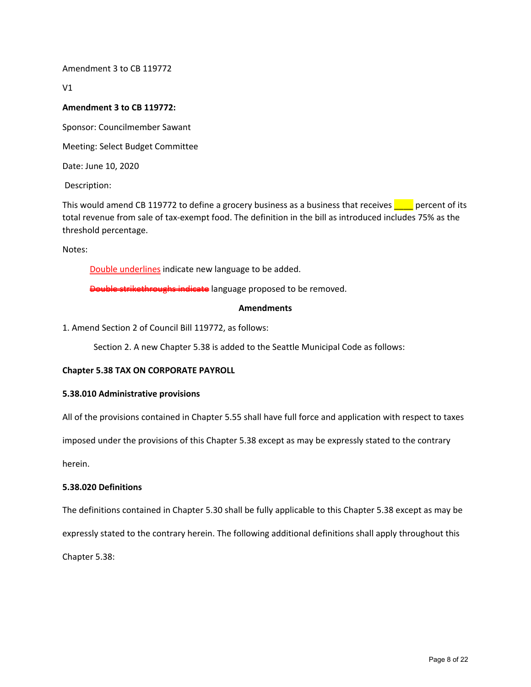Amendment 3 to CB 119772

V1

# **Amendment 3 to CB 119772:**

Sponsor: Councilmember Sawant

Meeting: Select Budget Committee

Date: June 10, 2020

Description:

This would amend CB 119772 to define a grocery business as a business that receives  $\Box$  percent of its total revenue from sale of tax-exempt food. The definition in the bill as introduced includes 75% as the threshold percentage.

Notes:

Double underlines indicate new language to be added.

Double strikethroughs indicate language proposed to be removed.

## **Amendments**

1. Amend Section 2 of Council Bill 119772, as follows:

Section 2. A new Chapter 5.38 is added to the Seattle Municipal Code as follows:

## **Chapter 5.38 TAX ON CORPORATE PAYROLL**

## **5.38.010 Administrative provisions**

All of the provisions contained in Chapter 5.55 shall have full force and application with respect to taxes

imposed under the provisions of this Chapter 5.38 except as may be expressly stated to the contrary

herein.

## **5.38.020 Definitions**

The definitions contained in Chapter 5.30 shall be fully applicable to this Chapter 5.38 except as may be

expressly stated to the contrary herein. The following additional definitions shall apply throughout this

Chapter 5.38: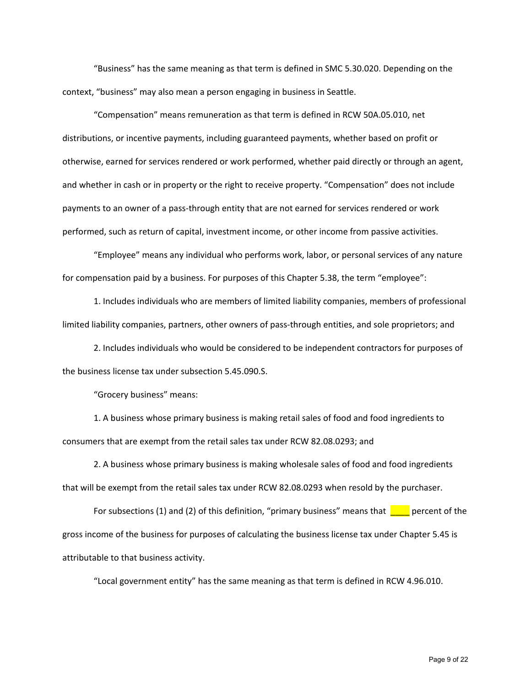"Business" has the same meaning as that term is defined in SMC 5.30.020. Depending on the context, "business" may also mean a person engaging in business in Seattle.

"Compensation" means remuneration as that term is defined in RCW 50A.05.010, net distributions, or incentive payments, including guaranteed payments, whether based on profit or otherwise, earned for services rendered or work performed, whether paid directly or through an agent, and whether in cash or in property or the right to receive property. "Compensation" does not include payments to an owner of a pass-through entity that are not earned for services rendered or work performed, such as return of capital, investment income, or other income from passive activities.

"Employee" means any individual who performs work, labor, or personal services of any nature for compensation paid by a business. For purposes of this Chapter 5.38, the term "employee":

1. Includes individuals who are members of limited liability companies, members of professional limited liability companies, partners, other owners of pass-through entities, and sole proprietors; and

2. Includes individuals who would be considered to be independent contractors for purposes of the business license tax under subsection 5.45.090.S.

"Grocery business" means:

1. A business whose primary business is making retail sales of food and food ingredients to consumers that are exempt from the retail sales tax under RCW 82.08.0293; and

2. A business whose primary business is making wholesale sales of food and food ingredients that will be exempt from the retail sales tax under RCW 82.08.0293 when resold by the purchaser.

For subsections (1) and (2) of this definition, "primary business" means that percent of the gross income of the business for purposes of calculating the business license tax under Chapter 5.45 is attributable to that business activity.

"Local government entity" has the same meaning as that term is defined in RCW 4.96.010.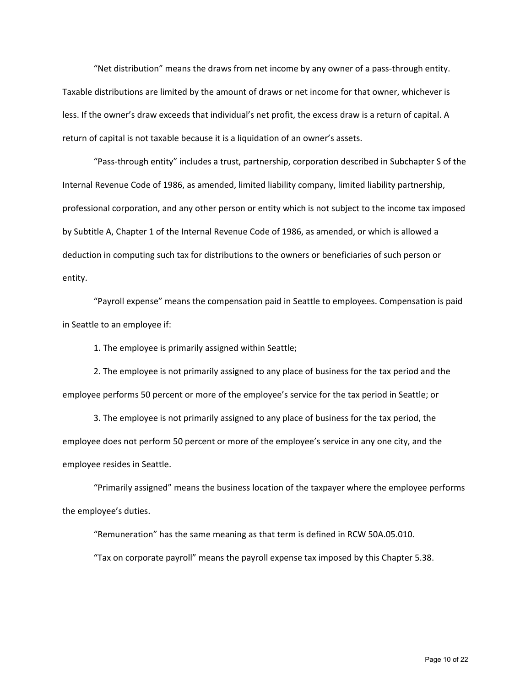"Net distribution" means the draws from net income by any owner of a pass-through entity. Taxable distributions are limited by the amount of draws or net income for that owner, whichever is less. If the owner's draw exceeds that individual's net profit, the excess draw is a return of capital. A return of capital is not taxable because it is a liquidation of an owner's assets.

"Pass-through entity" includes a trust, partnership, corporation described in Subchapter S of the Internal Revenue Code of 1986, as amended, limited liability company, limited liability partnership, professional corporation, and any other person or entity which is not subject to the income tax imposed by Subtitle A, Chapter 1 of the Internal Revenue Code of 1986, as amended, or which is allowed a deduction in computing such tax for distributions to the owners or beneficiaries of such person or entity.

"Payroll expense" means the compensation paid in Seattle to employees. Compensation is paid in Seattle to an employee if:

1. The employee is primarily assigned within Seattle;

2. The employee is not primarily assigned to any place of business for the tax period and the employee performs 50 percent or more of the employee's service for the tax period in Seattle; or

3. The employee is not primarily assigned to any place of business for the tax period, the employee does not perform 50 percent or more of the employee's service in any one city, and the employee resides in Seattle.

"Primarily assigned" means the business location of the taxpayer where the employee performs the employee's duties.

"Remuneration" has the same meaning as that term is defined in RCW 50A.05.010.

"Tax on corporate payroll" means the payroll expense tax imposed by this Chapter 5.38.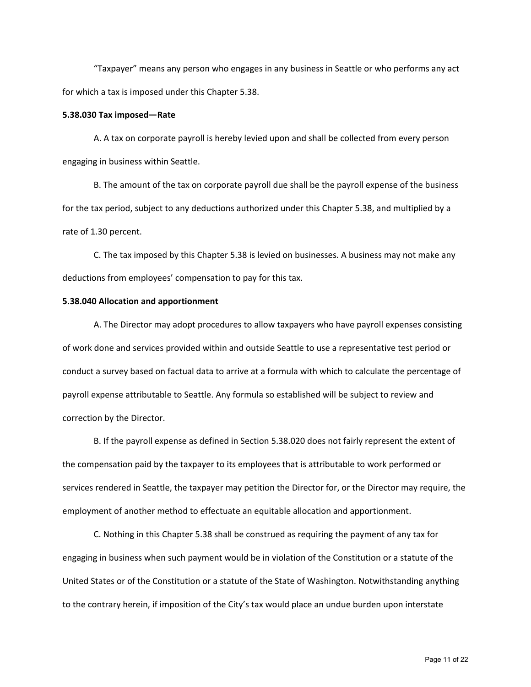"Taxpayer" means any person who engages in any business in Seattle or who performs any act for which a tax is imposed under this Chapter 5.38.

#### **5.38.030 Tax imposed—Rate**

A. A tax on corporate payroll is hereby levied upon and shall be collected from every person engaging in business within Seattle.

B. The amount of the tax on corporate payroll due shall be the payroll expense of the business for the tax period, subject to any deductions authorized under this Chapter 5.38, and multiplied by a rate of 1.30 percent.

C. The tax imposed by this Chapter 5.38 is levied on businesses. A business may not make any deductions from employees' compensation to pay for this tax.

### **5.38.040 Allocation and apportionment**

A. The Director may adopt procedures to allow taxpayers who have payroll expenses consisting of work done and services provided within and outside Seattle to use a representative test period or conduct a survey based on factual data to arrive at a formula with which to calculate the percentage of payroll expense attributable to Seattle. Any formula so established will be subject to review and correction by the Director.

B. If the payroll expense as defined in Section 5.38.020 does not fairly represent the extent of the compensation paid by the taxpayer to its employees that is attributable to work performed or services rendered in Seattle, the taxpayer may petition the Director for, or the Director may require, the employment of another method to effectuate an equitable allocation and apportionment.

C. Nothing in this Chapter 5.38 shall be construed as requiring the payment of any tax for engaging in business when such payment would be in violation of the Constitution or a statute of the United States or of the Constitution or a statute of the State of Washington. Notwithstanding anything to the contrary herein, if imposition of the City's tax would place an undue burden upon interstate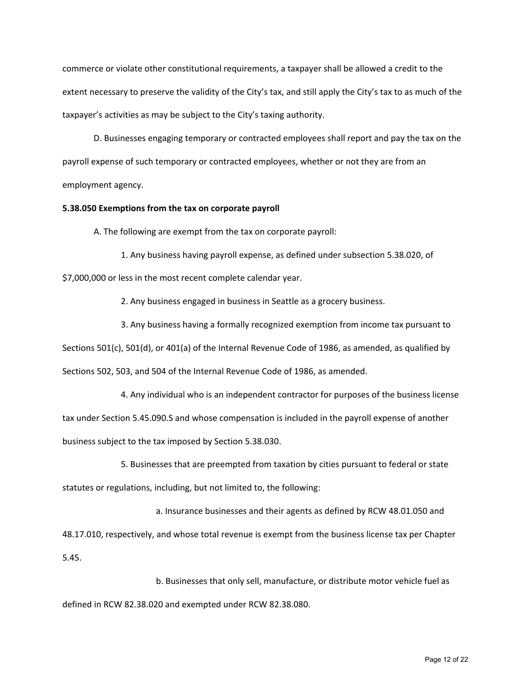commerce or violate other constitutional requirements, a taxpayer shall be allowed a credit to the extent necessary to preserve the validity of the City's tax, and still apply the City's tax to as much of the taxpayer's activities as may be subject to the City's taxing authority.

D. Businesses engaging temporary or contracted employees shall report and pay the tax on the payroll expense of such temporary or contracted employees, whether or not they are from an employment agency.

#### **5.38.050 Exemptions from the tax on corporate payroll**

A. The following are exempt from the tax on corporate payroll:

1. Any business having payroll expense, as defined under subsection 5.38.020, of \$7,000,000 or less in the most recent complete calendar year.

2. Any business engaged in business in Seattle as a grocery business.

3. Any business having a formally recognized exemption from income tax pursuant to Sections 501(c), 501(d), or 401(a) of the Internal Revenue Code of 1986, as amended, as qualified by Sections 502, 503, and 504 of the Internal Revenue Code of 1986, as amended.

4. Any individual who is an independent contractor for purposes of the business license tax under Section 5.45.090.S and whose compensation is included in the payroll expense of another business subject to the tax imposed by Section 5.38.030.

5. Businesses that are preempted from taxation by cities pursuant to federal or state statutes or regulations, including, but not limited to, the following:

a. Insurance businesses and their agents as defined by RCW 48.01.050 and 48.17.010, respectively, and whose total revenue is exempt from the business license tax per Chapter 5.45.

b. Businesses that only sell, manufacture, or distribute motor vehicle fuel as defined in RCW 82.38.020 and exempted under RCW 82.38.080.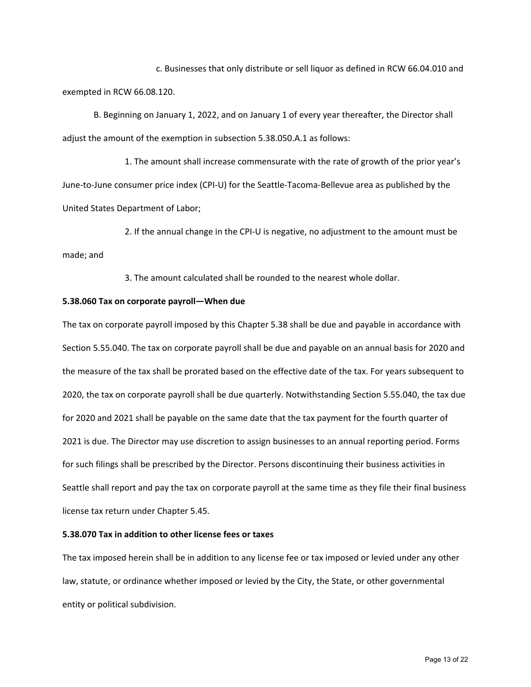c. Businesses that only distribute or sell liquor as defined in RCW 66.04.010 and exempted in RCW 66.08.120.

B. Beginning on January 1, 2022, and on January 1 of every year thereafter, the Director shall adjust the amount of the exemption in subsection 5.38.050.A.1 as follows:

1. The amount shall increase commensurate with the rate of growth of the prior year's June-to-June consumer price index (CPI-U) for the Seattle-Tacoma-Bellevue area as published by the United States Department of Labor;

2. If the annual change in the CPI-U is negative, no adjustment to the amount must be made; and

3. The amount calculated shall be rounded to the nearest whole dollar.

### **5.38.060 Tax on corporate payroll—When due**

The tax on corporate payroll imposed by this Chapter 5.38 shall be due and payable in accordance with Section 5.55.040. The tax on corporate payroll shall be due and payable on an annual basis for 2020 and the measure of the tax shall be prorated based on the effective date of the tax. For years subsequent to 2020, the tax on corporate payroll shall be due quarterly. Notwithstanding Section 5.55.040, the tax due for 2020 and 2021 shall be payable on the same date that the tax payment for the fourth quarter of 2021 is due. The Director may use discretion to assign businesses to an annual reporting period. Forms for such filings shall be prescribed by the Director. Persons discontinuing their business activities in Seattle shall report and pay the tax on corporate payroll at the same time as they file their final business license tax return under Chapter 5.45.

## **5.38.070 Tax in addition to other license fees or taxes**

The tax imposed herein shall be in addition to any license fee or tax imposed or levied under any other law, statute, or ordinance whether imposed or levied by the City, the State, or other governmental entity or political subdivision.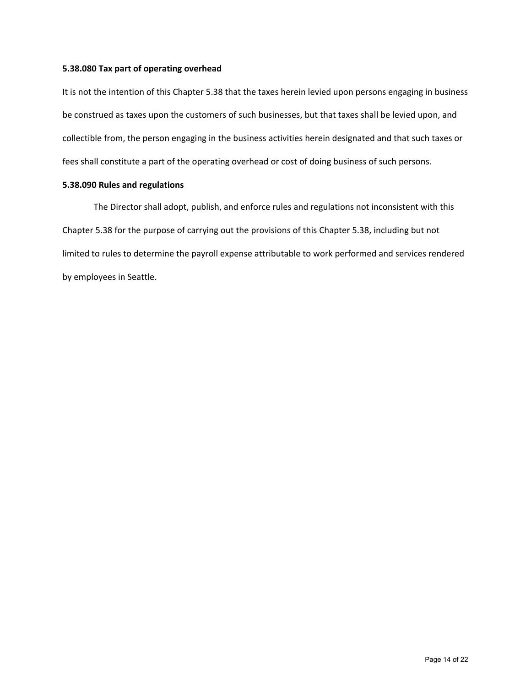### **5.38.080 Tax part of operating overhead**

It is not the intention of this Chapter 5.38 that the taxes herein levied upon persons engaging in business be construed as taxes upon the customers of such businesses, but that taxes shall be levied upon, and collectible from, the person engaging in the business activities herein designated and that such taxes or fees shall constitute a part of the operating overhead or cost of doing business of such persons.

#### **5.38.090 Rules and regulations**

The Director shall adopt, publish, and enforce rules and regulations not inconsistent with this Chapter 5.38 for the purpose of carrying out the provisions of this Chapter 5.38, including but not limited to rules to determine the payroll expense attributable to work performed and services rendered by employees in Seattle.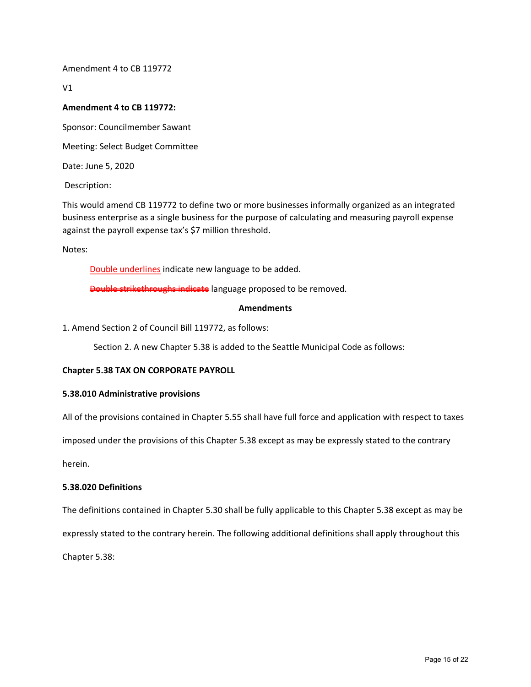Amendment 4 to CB 119772

V1

# **Amendment 4 to CB 119772:**

Sponsor: Councilmember Sawant

Meeting: Select Budget Committee

Date: June 5, 2020

Description:

This would amend CB 119772 to define two or more businesses informally organized as an integrated business enterprise as a single business for the purpose of calculating and measuring payroll expense against the payroll expense tax's \$7 million threshold.

Notes:

Double underlines indicate new language to be added.

Double strikethroughs indicate language proposed to be removed.

## **Amendments**

1. Amend Section 2 of Council Bill 119772, as follows:

Section 2. A new Chapter 5.38 is added to the Seattle Municipal Code as follows:

## **Chapter 5.38 TAX ON CORPORATE PAYROLL**

## **5.38.010 Administrative provisions**

All of the provisions contained in Chapter 5.55 shall have full force and application with respect to taxes

imposed under the provisions of this Chapter 5.38 except as may be expressly stated to the contrary

herein.

## **5.38.020 Definitions**

The definitions contained in Chapter 5.30 shall be fully applicable to this Chapter 5.38 except as may be

expressly stated to the contrary herein. The following additional definitions shall apply throughout this

Chapter 5.38: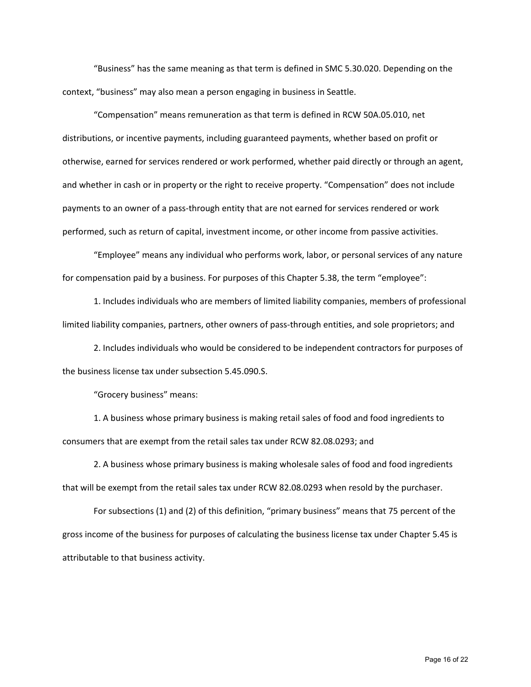"Business" has the same meaning as that term is defined in SMC 5.30.020. Depending on the context, "business" may also mean a person engaging in business in Seattle.

"Compensation" means remuneration as that term is defined in RCW 50A.05.010, net distributions, or incentive payments, including guaranteed payments, whether based on profit or otherwise, earned for services rendered or work performed, whether paid directly or through an agent, and whether in cash or in property or the right to receive property. "Compensation" does not include payments to an owner of a pass-through entity that are not earned for services rendered or work performed, such as return of capital, investment income, or other income from passive activities.

"Employee" means any individual who performs work, labor, or personal services of any nature for compensation paid by a business. For purposes of this Chapter 5.38, the term "employee":

1. Includes individuals who are members of limited liability companies, members of professional limited liability companies, partners, other owners of pass-through entities, and sole proprietors; and

2. Includes individuals who would be considered to be independent contractors for purposes of the business license tax under subsection 5.45.090.S.

"Grocery business" means:

1. A business whose primary business is making retail sales of food and food ingredients to consumers that are exempt from the retail sales tax under RCW 82.08.0293; and

2. A business whose primary business is making wholesale sales of food and food ingredients that will be exempt from the retail sales tax under RCW 82.08.0293 when resold by the purchaser.

For subsections (1) and (2) of this definition, "primary business" means that 75 percent of the gross income of the business for purposes of calculating the business license tax under Chapter 5.45 is attributable to that business activity.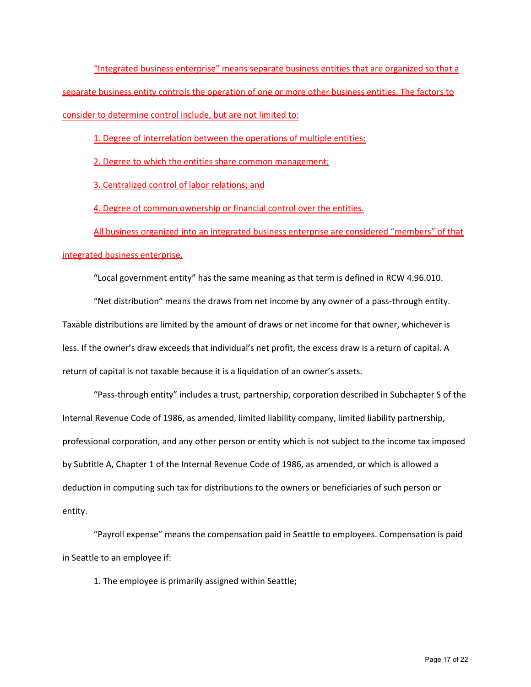"Integrated business enterprise" means separate business entities that are organized so that a separate business entity controls the operation of one or more other business entities. The factors to

consider to determine control include, but are not limited to:

1. Degree of interrelation between the operations of multiple entities;

2. Degree to which the entities share common management;

3. Centralized control of labor relations; and

4. Degree of common ownership or financial control over the entities.

All business organized into an integrated business enterprise are considered "members" of that integrated business enterprise.

"Local government entity" has the same meaning as that term is defined in RCW 4.96.010.

"Net distribution" means the draws from net income by any owner of a pass-through entity. Taxable distributions are limited by the amount of draws or net income for that owner, whichever is less. If the owner's draw exceeds that individual's net profit, the excess draw is a return of capital. A return of capital is not taxable because it is a liquidation of an owner's assets.

"Pass-through entity" includes a trust, partnership, corporation described in Subchapter S of the Internal Revenue Code of 1986, as amended, limited liability company, limited liability partnership, professional corporation, and any other person or entity which is not subject to the income tax imposed by Subtitle A, Chapter 1 of the Internal Revenue Code of 1986, as amended, or which is allowed a deduction in computing such tax for distributions to the owners or beneficiaries of such person or entity.

"Payroll expense" means the compensation paid in Seattle to employees. Compensation is paid in Seattle to an employee if:

1. The employee is primarily assigned within Seattle;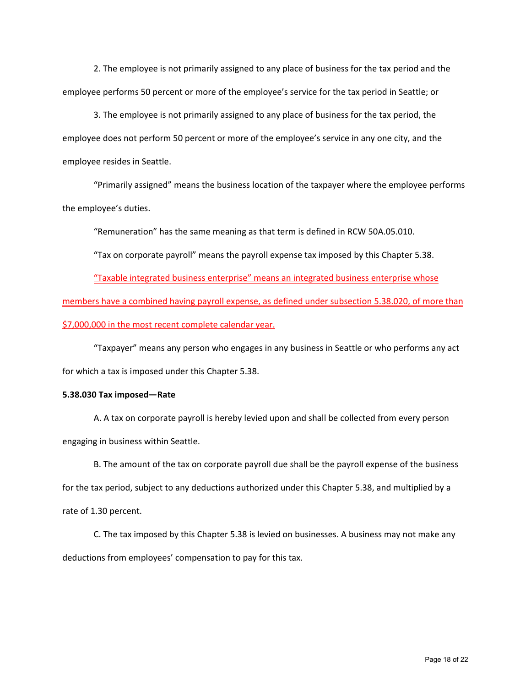2. The employee is not primarily assigned to any place of business for the tax period and the employee performs 50 percent or more of the employee's service for the tax period in Seattle; or

3. The employee is not primarily assigned to any place of business for the tax period, the employee does not perform 50 percent or more of the employee's service in any one city, and the employee resides in Seattle.

"Primarily assigned" means the business location of the taxpayer where the employee performs the employee's duties.

"Remuneration" has the same meaning as that term is defined in RCW 50A.05.010.

"Tax on corporate payroll" means the payroll expense tax imposed by this Chapter 5.38.

"Taxable integrated business enterprise" means an integrated business enterprise whose members have a combined having payroll expense, as defined under subsection 5.38.020, of more than \$7,000,000 in the most recent complete calendar year.

"Taxpayer" means any person who engages in any business in Seattle or who performs any act for which a tax is imposed under this Chapter 5.38.

## **5.38.030 Tax imposed—Rate**

A. A tax on corporate payroll is hereby levied upon and shall be collected from every person engaging in business within Seattle.

B. The amount of the tax on corporate payroll due shall be the payroll expense of the business for the tax period, subject to any deductions authorized under this Chapter 5.38, and multiplied by a rate of 1.30 percent.

C. The tax imposed by this Chapter 5.38 is levied on businesses. A business may not make any deductions from employees' compensation to pay for this tax.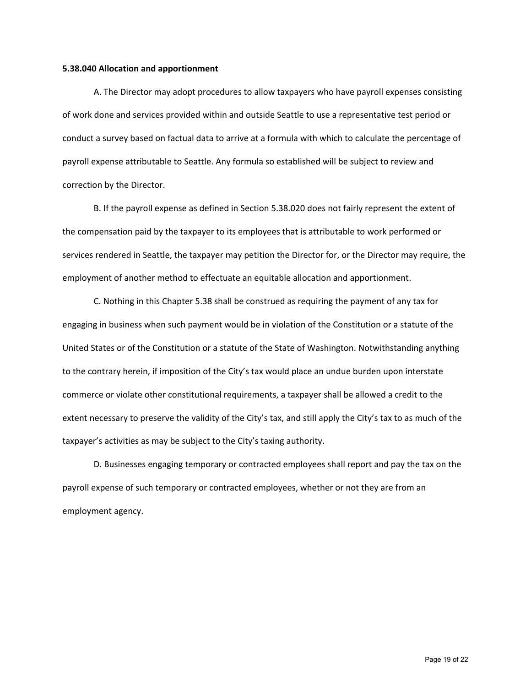#### **5.38.040 Allocation and apportionment**

A. The Director may adopt procedures to allow taxpayers who have payroll expenses consisting of work done and services provided within and outside Seattle to use a representative test period or conduct a survey based on factual data to arrive at a formula with which to calculate the percentage of payroll expense attributable to Seattle. Any formula so established will be subject to review and correction by the Director.

B. If the payroll expense as defined in Section 5.38.020 does not fairly represent the extent of the compensation paid by the taxpayer to its employees that is attributable to work performed or services rendered in Seattle, the taxpayer may petition the Director for, or the Director may require, the employment of another method to effectuate an equitable allocation and apportionment.

C. Nothing in this Chapter 5.38 shall be construed as requiring the payment of any tax for engaging in business when such payment would be in violation of the Constitution or a statute of the United States or of the Constitution or a statute of the State of Washington. Notwithstanding anything to the contrary herein, if imposition of the City's tax would place an undue burden upon interstate commerce or violate other constitutional requirements, a taxpayer shall be allowed a credit to the extent necessary to preserve the validity of the City's tax, and still apply the City's tax to as much of the taxpayer's activities as may be subject to the City's taxing authority.

D. Businesses engaging temporary or contracted employees shall report and pay the tax on the payroll expense of such temporary or contracted employees, whether or not they are from an employment agency.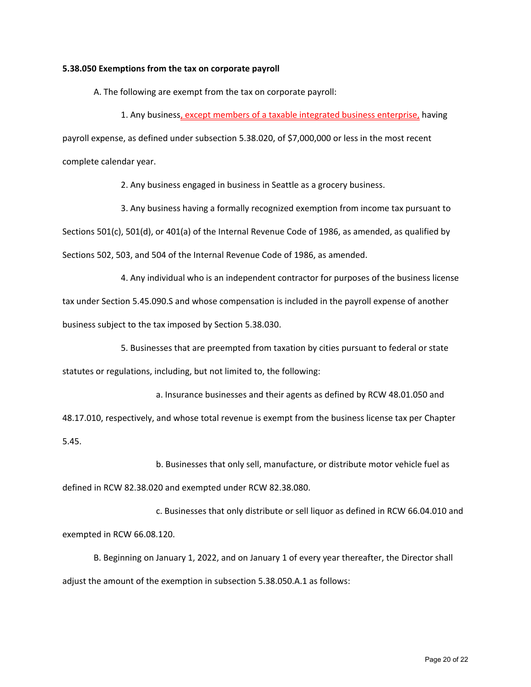#### **5.38.050 Exemptions from the tax on corporate payroll**

A. The following are exempt from the tax on corporate payroll:

1. Any business, except members of a taxable integrated business enterprise, having payroll expense, as defined under subsection 5.38.020, of \$7,000,000 or less in the most recent complete calendar year.

2. Any business engaged in business in Seattle as a grocery business.

3. Any business having a formally recognized exemption from income tax pursuant to Sections 501(c), 501(d), or 401(a) of the Internal Revenue Code of 1986, as amended, as qualified by Sections 502, 503, and 504 of the Internal Revenue Code of 1986, as amended.

4. Any individual who is an independent contractor for purposes of the business license tax under Section 5.45.090.S and whose compensation is included in the payroll expense of another business subject to the tax imposed by Section 5.38.030.

5. Businesses that are preempted from taxation by cities pursuant to federal or state statutes or regulations, including, but not limited to, the following:

a. Insurance businesses and their agents as defined by RCW 48.01.050 and 48.17.010, respectively, and whose total revenue is exempt from the business license tax per Chapter 5.45.

b. Businesses that only sell, manufacture, or distribute motor vehicle fuel as defined in RCW 82.38.020 and exempted under RCW 82.38.080.

c. Businesses that only distribute or sell liquor as defined in RCW 66.04.010 and exempted in RCW 66.08.120.

B. Beginning on January 1, 2022, and on January 1 of every year thereafter, the Director shall adjust the amount of the exemption in subsection 5.38.050.A.1 as follows: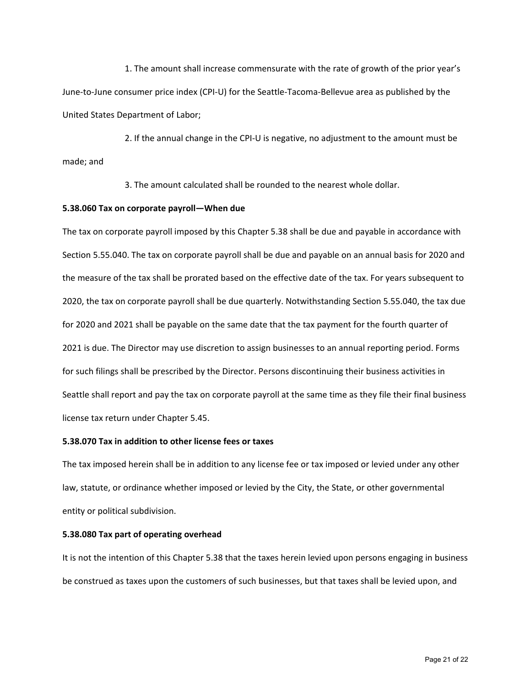1. The amount shall increase commensurate with the rate of growth of the prior year's June-to-June consumer price index (CPI-U) for the Seattle-Tacoma-Bellevue area as published by the United States Department of Labor;

2. If the annual change in the CPI-U is negative, no adjustment to the amount must be made; and

3. The amount calculated shall be rounded to the nearest whole dollar.

#### **5.38.060 Tax on corporate payroll—When due**

The tax on corporate payroll imposed by this Chapter 5.38 shall be due and payable in accordance with Section 5.55.040. The tax on corporate payroll shall be due and payable on an annual basis for 2020 and the measure of the tax shall be prorated based on the effective date of the tax. For years subsequent to 2020, the tax on corporate payroll shall be due quarterly. Notwithstanding Section 5.55.040, the tax due for 2020 and 2021 shall be payable on the same date that the tax payment for the fourth quarter of 2021 is due. The Director may use discretion to assign businesses to an annual reporting period. Forms for such filings shall be prescribed by the Director. Persons discontinuing their business activities in Seattle shall report and pay the tax on corporate payroll at the same time as they file their final business license tax return under Chapter 5.45.

## **5.38.070 Tax in addition to other license fees or taxes**

The tax imposed herein shall be in addition to any license fee or tax imposed or levied under any other law, statute, or ordinance whether imposed or levied by the City, the State, or other governmental entity or political subdivision.

### **5.38.080 Tax part of operating overhead**

It is not the intention of this Chapter 5.38 that the taxes herein levied upon persons engaging in business be construed as taxes upon the customers of such businesses, but that taxes shall be levied upon, and